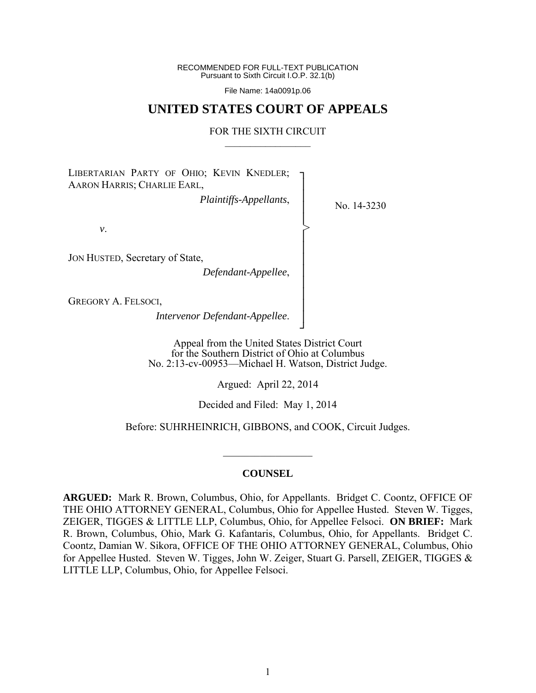RECOMMENDED FOR FULL-TEXT PUBLICATION Pursuant to Sixth Circuit I.O.P. 32.1(b)

File Name: 14a0091p.06

## **UNITED STATES COURT OF APPEALS**

#### FOR THE SIXTH CIRCUIT  $\mathcal{L}_\text{max}$

┐ │ │ │ │ │ │ │ │ │ │ │ │ ┘

>

LIBERTARIAN PARTY OF OHIO; KEVIN KNEDLER; AARON HARRIS; CHARLIE EARL,

*Plaintiffs-Appellants*,

No. 14-3230

*v*.

JON HUSTED, Secretary of State,

*Defendant-Appellee*,

GREGORY A. FELSOCI,

*Intervenor Defendant-Appellee*.

Appeal from the United States District Court for the Southern District of Ohio at Columbus No. 2:13-cv-00953—Michael H. Watson, District Judge.

Argued: April 22, 2014

Decided and Filed: May 1, 2014

Before: SUHRHEINRICH, GIBBONS, and COOK, Circuit Judges.

#### **COUNSEL**

 $\mathcal{L}_\text{max}$ 

**ARGUED:** Mark R. Brown, Columbus, Ohio, for Appellants. Bridget C. Coontz, OFFICE OF THE OHIO ATTORNEY GENERAL, Columbus, Ohio for Appellee Husted. Steven W. Tigges, ZEIGER, TIGGES & LITTLE LLP, Columbus, Ohio, for Appellee Felsoci. **ON BRIEF:** Mark R. Brown, Columbus, Ohio, Mark G. Kafantaris, Columbus, Ohio, for Appellants. Bridget C. Coontz, Damian W. Sikora, OFFICE OF THE OHIO ATTORNEY GENERAL, Columbus, Ohio for Appellee Husted. Steven W. Tigges, John W. Zeiger, Stuart G. Parsell, ZEIGER, TIGGES & LITTLE LLP, Columbus, Ohio, for Appellee Felsoci.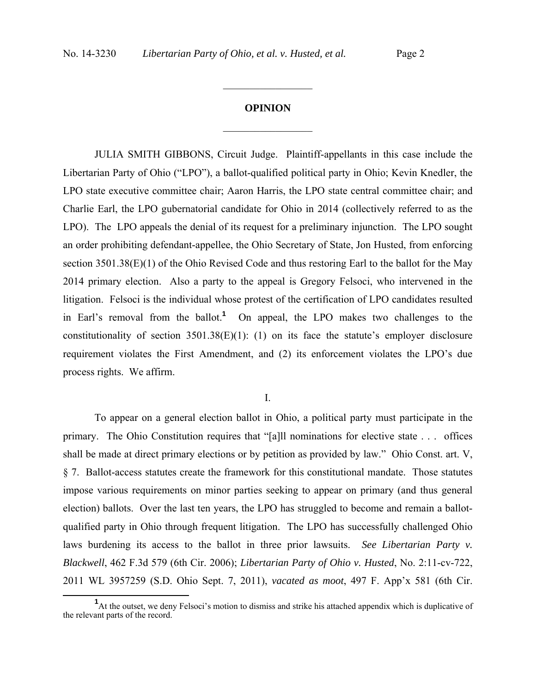# **OPINION**  $\frac{1}{2}$

 $\frac{1}{2}$ 

JULIA SMITH GIBBONS, Circuit Judge. Plaintiff-appellants in this case include the Libertarian Party of Ohio ("LPO"), a ballot-qualified political party in Ohio; Kevin Knedler, the LPO state executive committee chair; Aaron Harris, the LPO state central committee chair; and Charlie Earl, the LPO gubernatorial candidate for Ohio in 2014 (collectively referred to as the LPO). The LPO appeals the denial of its request for a preliminary injunction. The LPO sought an order prohibiting defendant-appellee, the Ohio Secretary of State, Jon Husted, from enforcing section 3501.38(E)(1) of the Ohio Revised Code and thus restoring Earl to the ballot for the May 2014 primary election. Also a party to the appeal is Gregory Felsoci, who intervened in the litigation. Felsoci is the individual whose protest of the certification of LPO candidates resulted in Earl's removal from the ballot.**<sup>1</sup>** On appeal, the LPO makes two challenges to the constitutionality of section  $3501.38(E)(1)$ : (1) on its face the statute's employer disclosure requirement violates the First Amendment, and (2) its enforcement violates the LPO's due process rights. We affirm.

I.

To appear on a general election ballot in Ohio, a political party must participate in the primary. The Ohio Constitution requires that "[a]ll nominations for elective state . . . offices shall be made at direct primary elections or by petition as provided by law." Ohio Const. art. V, § 7. Ballot-access statutes create the framework for this constitutional mandate. Those statutes impose various requirements on minor parties seeking to appear on primary (and thus general election) ballots. Over the last ten years, the LPO has struggled to become and remain a ballotqualified party in Ohio through frequent litigation. The LPO has successfully challenged Ohio laws burdening its access to the ballot in three prior lawsuits. *See Libertarian Party v. Blackwell*, 462 F.3d 579 (6th Cir. 2006); *Libertarian Party of Ohio v. Husted*, No. 2:11-cv-722, 2011 WL 3957259 (S.D. Ohio Sept. 7, 2011), *vacated as moot*, 497 F. App'x 581 (6th Cir.

**<sup>1</sup>** <sup>1</sup>At the outset, we deny Felsoci's motion to dismiss and strike his attached appendix which is duplicative of the relevant parts of the record.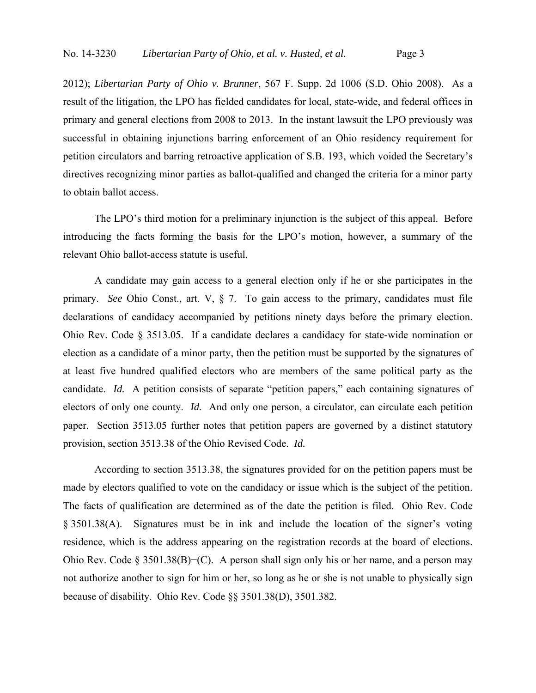2012); *Libertarian Party of Ohio v. Brunner*, 567 F. Supp. 2d 1006 (S.D. Ohio 2008). As a result of the litigation, the LPO has fielded candidates for local, state-wide, and federal offices in primary and general elections from 2008 to 2013. In the instant lawsuit the LPO previously was successful in obtaining injunctions barring enforcement of an Ohio residency requirement for petition circulators and barring retroactive application of S.B. 193, which voided the Secretary's directives recognizing minor parties as ballot-qualified and changed the criteria for a minor party to obtain ballot access.

The LPO's third motion for a preliminary injunction is the subject of this appeal. Before introducing the facts forming the basis for the LPO's motion, however, a summary of the relevant Ohio ballot-access statute is useful.

A candidate may gain access to a general election only if he or she participates in the primary. *See* Ohio Const., art. V, § 7. To gain access to the primary, candidates must file declarations of candidacy accompanied by petitions ninety days before the primary election. Ohio Rev. Code § 3513.05. If a candidate declares a candidacy for state-wide nomination or election as a candidate of a minor party, then the petition must be supported by the signatures of at least five hundred qualified electors who are members of the same political party as the candidate. *Id.* A petition consists of separate "petition papers," each containing signatures of electors of only one county. *Id.* And only one person, a circulator, can circulate each petition paper. Section 3513.05 further notes that petition papers are governed by a distinct statutory provision, section 3513.38 of the Ohio Revised Code. *Id.* 

According to section 3513.38, the signatures provided for on the petition papers must be made by electors qualified to vote on the candidacy or issue which is the subject of the petition. The facts of qualification are determined as of the date the petition is filed. Ohio Rev. Code § 3501.38(A). Signatures must be in ink and include the location of the signer's voting residence, which is the address appearing on the registration records at the board of elections. Ohio Rev. Code § 3501.38(B)−(C). A person shall sign only his or her name, and a person may not authorize another to sign for him or her, so long as he or she is not unable to physically sign because of disability. Ohio Rev. Code §§ 3501.38(D), 3501.382.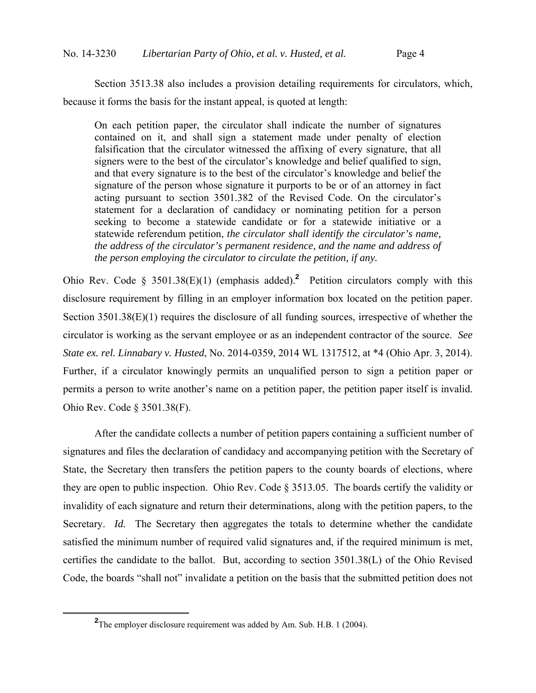Section 3513.38 also includes a provision detailing requirements for circulators, which, because it forms the basis for the instant appeal, is quoted at length:

On each petition paper, the circulator shall indicate the number of signatures contained on it, and shall sign a statement made under penalty of election falsification that the circulator witnessed the affixing of every signature, that all signers were to the best of the circulator's knowledge and belief qualified to sign, and that every signature is to the best of the circulator's knowledge and belief the signature of the person whose signature it purports to be or of an attorney in fact acting pursuant to section 3501.382 of the Revised Code. On the circulator's statement for a declaration of candidacy or nominating petition for a person seeking to become a statewide candidate or for a statewide initiative or a statewide referendum petition, *the circulator shall identify the circulator's name, the address of the circulator's permanent residence, and the name and address of the person employing the circulator to circulate the petition, if any.*

Ohio Rev. Code § 3501.38(E)(1) (emphasis added).<sup>2</sup> Petition circulators comply with this disclosure requirement by filling in an employer information box located on the petition paper. Section 3501.38(E)(1) requires the disclosure of all funding sources, irrespective of whether the circulator is working as the servant employee or as an independent contractor of the source. *See State ex. rel. Linnabary v. Husted*, No. 2014-0359, 2014 WL 1317512, at \*4 (Ohio Apr. 3, 2014). Further, if a circulator knowingly permits an unqualified person to sign a petition paper or permits a person to write another's name on a petition paper, the petition paper itself is invalid. Ohio Rev. Code § 3501.38(F).

After the candidate collects a number of petition papers containing a sufficient number of signatures and files the declaration of candidacy and accompanying petition with the Secretary of State, the Secretary then transfers the petition papers to the county boards of elections, where they are open to public inspection. Ohio Rev. Code § 3513.05. The boards certify the validity or invalidity of each signature and return their determinations, along with the petition papers, to the Secretary. *Id.* The Secretary then aggregates the totals to determine whether the candidate satisfied the minimum number of required valid signatures and, if the required minimum is met, certifies the candidate to the ballot. But, according to section 3501.38(L) of the Ohio Revised Code, the boards "shall not" invalidate a petition on the basis that the submitted petition does not

**<sup>2</sup>** <sup>2</sup>The employer disclosure requirement was added by Am. Sub. H.B. 1 (2004).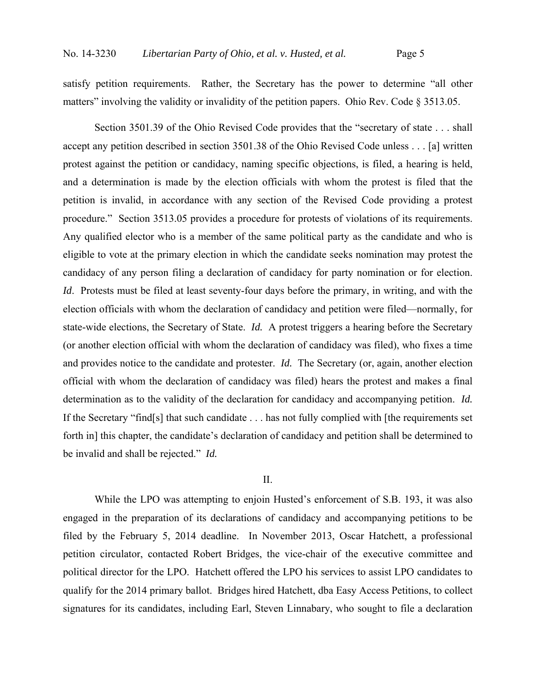satisfy petition requirements. Rather, the Secretary has the power to determine "all other matters" involving the validity or invalidity of the petition papers. Ohio Rev. Code § 3513.05.

Section 3501.39 of the Ohio Revised Code provides that the "secretary of state . . . shall accept any petition described in section 3501.38 of the Ohio Revised Code unless . . . [a] written protest against the petition or candidacy, naming specific objections, is filed, a hearing is held, and a determination is made by the election officials with whom the protest is filed that the petition is invalid, in accordance with any section of the Revised Code providing a protest procedure." Section 3513.05 provides a procedure for protests of violations of its requirements. Any qualified elector who is a member of the same political party as the candidate and who is eligible to vote at the primary election in which the candidate seeks nomination may protest the candidacy of any person filing a declaration of candidacy for party nomination or for election. *Id*. Protests must be filed at least seventy-four days before the primary, in writing, and with the election officials with whom the declaration of candidacy and petition were filed—normally, for state-wide elections, the Secretary of State. *Id.* A protest triggers a hearing before the Secretary (or another election official with whom the declaration of candidacy was filed), who fixes a time and provides notice to the candidate and protester. *Id.* The Secretary (or, again, another election official with whom the declaration of candidacy was filed) hears the protest and makes a final determination as to the validity of the declaration for candidacy and accompanying petition. *Id.* If the Secretary "find[s] that such candidate . . . has not fully complied with [the requirements set forth in] this chapter, the candidate's declaration of candidacy and petition shall be determined to be invalid and shall be rejected." *Id.*

#### II.

While the LPO was attempting to enjoin Husted's enforcement of S.B. 193, it was also engaged in the preparation of its declarations of candidacy and accompanying petitions to be filed by the February 5, 2014 deadline. In November 2013, Oscar Hatchett, a professional petition circulator, contacted Robert Bridges, the vice-chair of the executive committee and political director for the LPO. Hatchett offered the LPO his services to assist LPO candidates to qualify for the 2014 primary ballot. Bridges hired Hatchett, dba Easy Access Petitions, to collect signatures for its candidates, including Earl, Steven Linnabary, who sought to file a declaration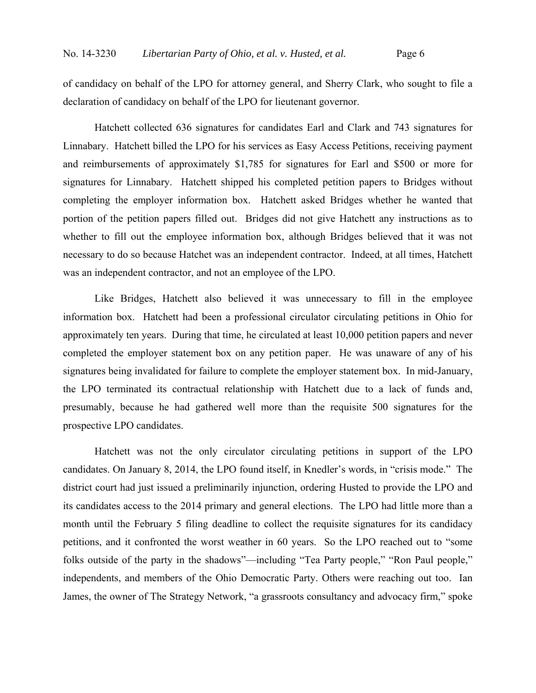of candidacy on behalf of the LPO for attorney general, and Sherry Clark, who sought to file a declaration of candidacy on behalf of the LPO for lieutenant governor.

Hatchett collected 636 signatures for candidates Earl and Clark and 743 signatures for Linnabary. Hatchett billed the LPO for his services as Easy Access Petitions, receiving payment and reimbursements of approximately \$1,785 for signatures for Earl and \$500 or more for signatures for Linnabary. Hatchett shipped his completed petition papers to Bridges without completing the employer information box. Hatchett asked Bridges whether he wanted that portion of the petition papers filled out. Bridges did not give Hatchett any instructions as to whether to fill out the employee information box, although Bridges believed that it was not necessary to do so because Hatchet was an independent contractor. Indeed, at all times, Hatchett was an independent contractor, and not an employee of the LPO.

Like Bridges, Hatchett also believed it was unnecessary to fill in the employee information box. Hatchett had been a professional circulator circulating petitions in Ohio for approximately ten years. During that time, he circulated at least 10,000 petition papers and never completed the employer statement box on any petition paper. He was unaware of any of his signatures being invalidated for failure to complete the employer statement box. In mid-January, the LPO terminated its contractual relationship with Hatchett due to a lack of funds and, presumably, because he had gathered well more than the requisite 500 signatures for the prospective LPO candidates.

Hatchett was not the only circulator circulating petitions in support of the LPO candidates. On January 8, 2014, the LPO found itself, in Knedler's words, in "crisis mode." The district court had just issued a preliminarily injunction, ordering Husted to provide the LPO and its candidates access to the 2014 primary and general elections. The LPO had little more than a month until the February 5 filing deadline to collect the requisite signatures for its candidacy petitions, and it confronted the worst weather in 60 years. So the LPO reached out to "some folks outside of the party in the shadows"—including "Tea Party people," "Ron Paul people," independents, and members of the Ohio Democratic Party. Others were reaching out too. Ian James, the owner of The Strategy Network, "a grassroots consultancy and advocacy firm," spoke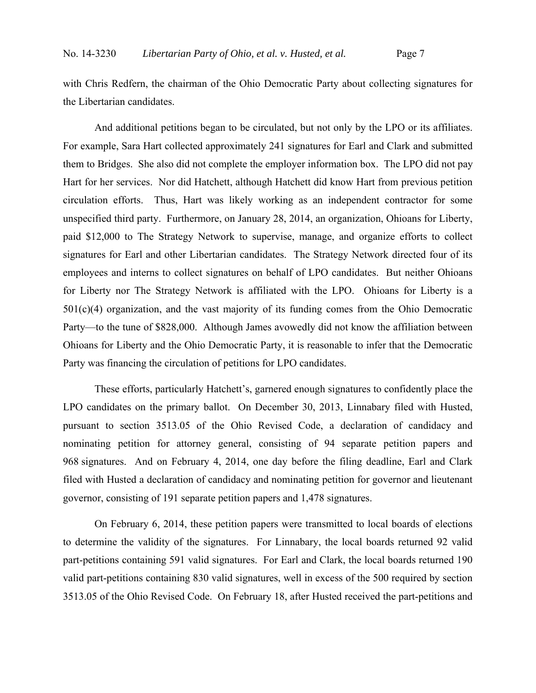with Chris Redfern, the chairman of the Ohio Democratic Party about collecting signatures for the Libertarian candidates.

And additional petitions began to be circulated, but not only by the LPO or its affiliates. For example, Sara Hart collected approximately 241 signatures for Earl and Clark and submitted them to Bridges. She also did not complete the employer information box. The LPO did not pay Hart for her services. Nor did Hatchett, although Hatchett did know Hart from previous petition circulation efforts. Thus, Hart was likely working as an independent contractor for some unspecified third party. Furthermore, on January 28, 2014, an organization, Ohioans for Liberty, paid \$12,000 to The Strategy Network to supervise, manage, and organize efforts to collect signatures for Earl and other Libertarian candidates. The Strategy Network directed four of its employees and interns to collect signatures on behalf of LPO candidates. But neither Ohioans for Liberty nor The Strategy Network is affiliated with the LPO. Ohioans for Liberty is a  $501(c)(4)$  organization, and the vast majority of its funding comes from the Ohio Democratic Party—to the tune of \$828,000. Although James avowedly did not know the affiliation between Ohioans for Liberty and the Ohio Democratic Party, it is reasonable to infer that the Democratic Party was financing the circulation of petitions for LPO candidates.

These efforts, particularly Hatchett's, garnered enough signatures to confidently place the LPO candidates on the primary ballot. On December 30, 2013, Linnabary filed with Husted, pursuant to section 3513.05 of the Ohio Revised Code, a declaration of candidacy and nominating petition for attorney general, consisting of 94 separate petition papers and 968 signatures. And on February 4, 2014, one day before the filing deadline, Earl and Clark filed with Husted a declaration of candidacy and nominating petition for governor and lieutenant governor, consisting of 191 separate petition papers and 1,478 signatures.

On February 6, 2014, these petition papers were transmitted to local boards of elections to determine the validity of the signatures. For Linnabary, the local boards returned 92 valid part-petitions containing 591 valid signatures. For Earl and Clark, the local boards returned 190 valid part-petitions containing 830 valid signatures, well in excess of the 500 required by section 3513.05 of the Ohio Revised Code. On February 18, after Husted received the part-petitions and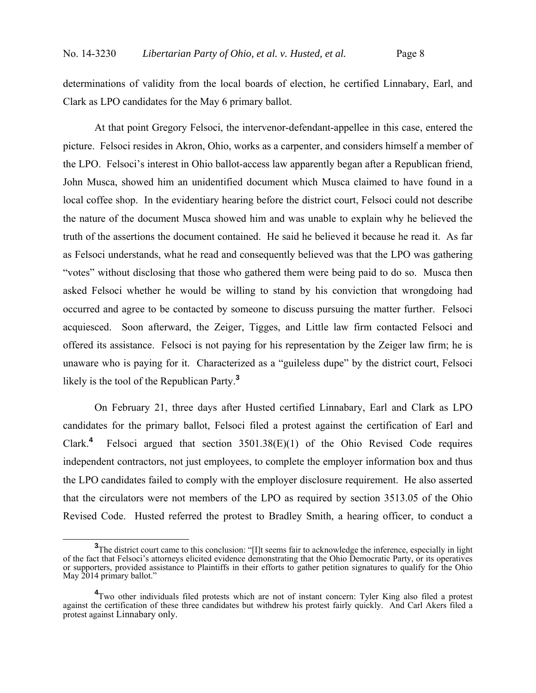determinations of validity from the local boards of election, he certified Linnabary, Earl, and Clark as LPO candidates for the May 6 primary ballot.

At that point Gregory Felsoci, the intervenor-defendant-appellee in this case, entered the picture. Felsoci resides in Akron, Ohio, works as a carpenter, and considers himself a member of the LPO. Felsoci's interest in Ohio ballot-access law apparently began after a Republican friend, John Musca, showed him an unidentified document which Musca claimed to have found in a local coffee shop. In the evidentiary hearing before the district court, Felsoci could not describe the nature of the document Musca showed him and was unable to explain why he believed the truth of the assertions the document contained. He said he believed it because he read it. As far as Felsoci understands, what he read and consequently believed was that the LPO was gathering "votes" without disclosing that those who gathered them were being paid to do so. Musca then asked Felsoci whether he would be willing to stand by his conviction that wrongdoing had occurred and agree to be contacted by someone to discuss pursuing the matter further. Felsoci acquiesced. Soon afterward, the Zeiger, Tigges, and Little law firm contacted Felsoci and offered its assistance. Felsoci is not paying for his representation by the Zeiger law firm; he is unaware who is paying for it. Characterized as a "guileless dupe" by the district court, Felsoci likely is the tool of the Republican Party.**<sup>3</sup>**

On February 21, three days after Husted certified Linnabary, Earl and Clark as LPO candidates for the primary ballot, Felsoci filed a protest against the certification of Earl and Clark.**<sup>4</sup>** Felsoci argued that section 3501.38(E)(1) of the Ohio Revised Code requires independent contractors, not just employees, to complete the employer information box and thus the LPO candidates failed to comply with the employer disclosure requirement. He also asserted that the circulators were not members of the LPO as required by section 3513.05 of the Ohio Revised Code. Husted referred the protest to Bradley Smith, a hearing officer, to conduct a

<sup>&</sup>lt;sup>3</sup>The district court came to this conclusion: "[I]t seems fair to acknowledge the inference, especially in light of the fact that Felsoci's attorneys elicited evidence demonstrating that the Ohio Democratic Party, or its operatives or supporters, provided assistance to Plaintiffs in their efforts to gather petition signatures to qualify for the Ohio May 2014 primary ballot."

<sup>&</sup>lt;sup>4</sup>Two other individuals filed protests which are not of instant concern: Tyler King also filed a protest against the certification of these three candidates but withdrew his protest fairly quickly. And Carl Akers filed a protest against Linnabary only.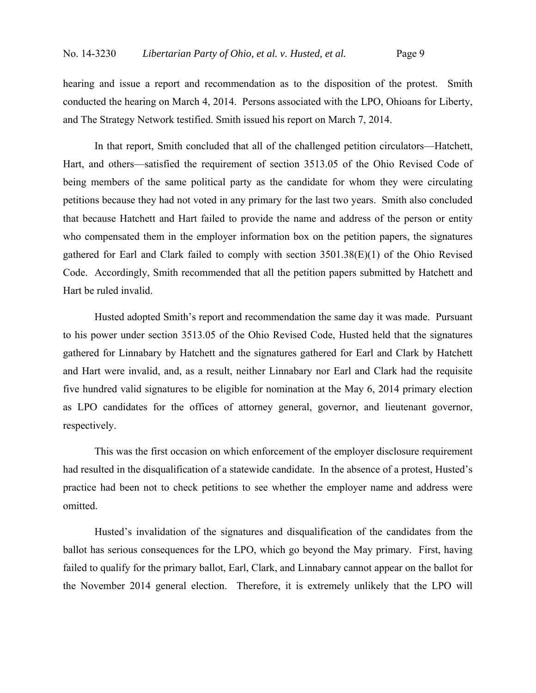hearing and issue a report and recommendation as to the disposition of the protest. Smith conducted the hearing on March 4, 2014. Persons associated with the LPO, Ohioans for Liberty, and The Strategy Network testified. Smith issued his report on March 7, 2014.

In that report, Smith concluded that all of the challenged petition circulators—Hatchett, Hart, and others—satisfied the requirement of section 3513.05 of the Ohio Revised Code of being members of the same political party as the candidate for whom they were circulating petitions because they had not voted in any primary for the last two years. Smith also concluded that because Hatchett and Hart failed to provide the name and address of the person or entity who compensated them in the employer information box on the petition papers, the signatures gathered for Earl and Clark failed to comply with section 3501.38(E)(1) of the Ohio Revised Code. Accordingly, Smith recommended that all the petition papers submitted by Hatchett and Hart be ruled invalid.

Husted adopted Smith's report and recommendation the same day it was made. Pursuant to his power under section 3513.05 of the Ohio Revised Code, Husted held that the signatures gathered for Linnabary by Hatchett and the signatures gathered for Earl and Clark by Hatchett and Hart were invalid, and, as a result, neither Linnabary nor Earl and Clark had the requisite five hundred valid signatures to be eligible for nomination at the May 6, 2014 primary election as LPO candidates for the offices of attorney general, governor, and lieutenant governor, respectively.

This was the first occasion on which enforcement of the employer disclosure requirement had resulted in the disqualification of a statewide candidate. In the absence of a protest, Husted's practice had been not to check petitions to see whether the employer name and address were omitted.

Husted's invalidation of the signatures and disqualification of the candidates from the ballot has serious consequences for the LPO, which go beyond the May primary. First, having failed to qualify for the primary ballot, Earl, Clark, and Linnabary cannot appear on the ballot for the November 2014 general election. Therefore, it is extremely unlikely that the LPO will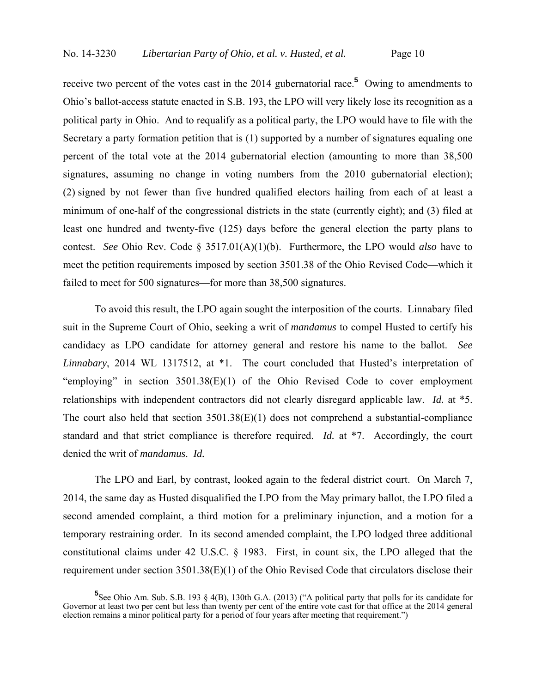receive two percent of the votes cast in the 2014 gubernatorial race.**<sup>5</sup>** Owing to amendments to Ohio's ballot-access statute enacted in S.B. 193, the LPO will very likely lose its recognition as a political party in Ohio. And to requalify as a political party, the LPO would have to file with the Secretary a party formation petition that is (1) supported by a number of signatures equaling one percent of the total vote at the 2014 gubernatorial election (amounting to more than 38,500 signatures, assuming no change in voting numbers from the 2010 gubernatorial election); (2) signed by not fewer than five hundred qualified electors hailing from each of at least a minimum of one-half of the congressional districts in the state (currently eight); and (3) filed at least one hundred and twenty-five (125) days before the general election the party plans to contest. *See* Ohio Rev. Code § 3517.01(A)(1)(b). Furthermore, the LPO would *also* have to meet the petition requirements imposed by section 3501.38 of the Ohio Revised Code—which it failed to meet for 500 signatures—for more than 38,500 signatures.

To avoid this result, the LPO again sought the interposition of the courts. Linnabary filed suit in the Supreme Court of Ohio, seeking a writ of *mandamus* to compel Husted to certify his candidacy as LPO candidate for attorney general and restore his name to the ballot. *See Linnabary*, 2014 WL 1317512, at \*1. The court concluded that Husted's interpretation of "employing" in section 3501.38(E)(1) of the Ohio Revised Code to cover employment relationships with independent contractors did not clearly disregard applicable law. *Id.* at \*5. The court also held that section  $3501.38(E)(1)$  does not comprehend a substantial-compliance standard and that strict compliance is therefore required. *Id.* at \*7. Accordingly, the court denied the writ of *mandamus*. *Id.*

The LPO and Earl, by contrast, looked again to the federal district court. On March 7, 2014, the same day as Husted disqualified the LPO from the May primary ballot, the LPO filed a second amended complaint, a third motion for a preliminary injunction, and a motion for a temporary restraining order. In its second amended complaint, the LPO lodged three additional constitutional claims under 42 U.S.C. § 1983. First, in count six, the LPO alleged that the requirement under section 3501.38(E)(1) of the Ohio Revised Code that circulators disclose their

<sup>&</sup>lt;sup>5</sup><br>
See Ohio Am. Sub. S.B. 193 § 4(B), 130th G.A. (2013) ("A political party that polls for its candidate for Governor at least two per cent but less than twenty per cent of the entire vote cast for that office at the 2014 general election remains a minor political party for a period of four years after meeting that requirement.")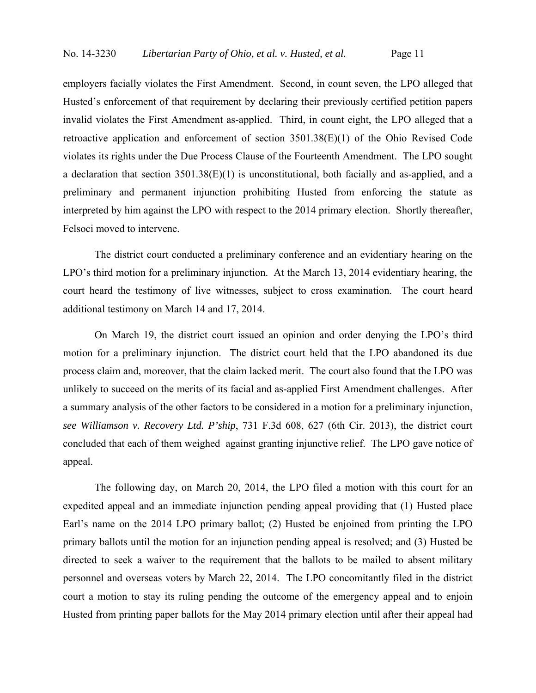employers facially violates the First Amendment. Second, in count seven, the LPO alleged that Husted's enforcement of that requirement by declaring their previously certified petition papers invalid violates the First Amendment as-applied. Third, in count eight, the LPO alleged that a retroactive application and enforcement of section 3501.38(E)(1) of the Ohio Revised Code violates its rights under the Due Process Clause of the Fourteenth Amendment. The LPO sought a declaration that section 3501.38(E)(1) is unconstitutional, both facially and as-applied, and a preliminary and permanent injunction prohibiting Husted from enforcing the statute as interpreted by him against the LPO with respect to the 2014 primary election. Shortly thereafter, Felsoci moved to intervene.

The district court conducted a preliminary conference and an evidentiary hearing on the LPO's third motion for a preliminary injunction. At the March 13, 2014 evidentiary hearing, the court heard the testimony of live witnesses, subject to cross examination. The court heard additional testimony on March 14 and 17, 2014.

On March 19, the district court issued an opinion and order denying the LPO's third motion for a preliminary injunction. The district court held that the LPO abandoned its due process claim and, moreover, that the claim lacked merit. The court also found that the LPO was unlikely to succeed on the merits of its facial and as-applied First Amendment challenges. After a summary analysis of the other factors to be considered in a motion for a preliminary injunction, *see Williamson v. Recovery Ltd. P'ship*, 731 F.3d 608, 627 (6th Cir. 2013), the district court concluded that each of them weighed against granting injunctive relief. The LPO gave notice of appeal.

The following day, on March 20, 2014, the LPO filed a motion with this court for an expedited appeal and an immediate injunction pending appeal providing that (1) Husted place Earl's name on the 2014 LPO primary ballot; (2) Husted be enjoined from printing the LPO primary ballots until the motion for an injunction pending appeal is resolved; and (3) Husted be directed to seek a waiver to the requirement that the ballots to be mailed to absent military personnel and overseas voters by March 22, 2014. The LPO concomitantly filed in the district court a motion to stay its ruling pending the outcome of the emergency appeal and to enjoin Husted from printing paper ballots for the May 2014 primary election until after their appeal had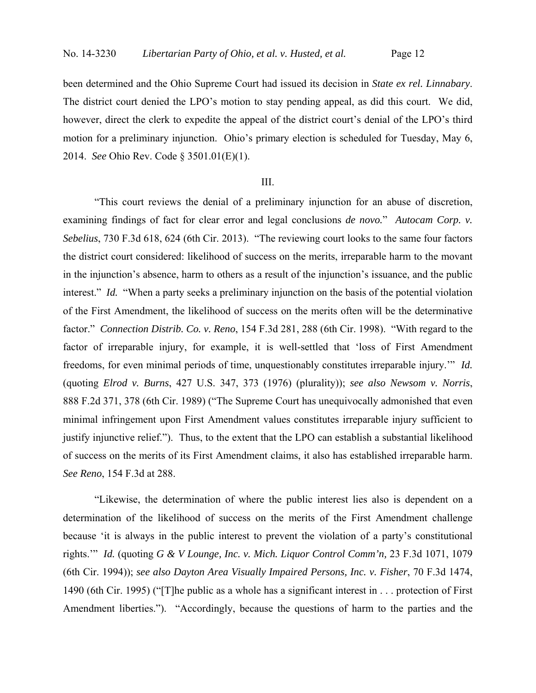been determined and the Ohio Supreme Court had issued its decision in *State ex rel. Linnabary*. The district court denied the LPO's motion to stay pending appeal, as did this court. We did, however, direct the clerk to expedite the appeal of the district court's denial of the LPO's third motion for a preliminary injunction. Ohio's primary election is scheduled for Tuesday, May 6, 2014. *See* Ohio Rev. Code § 3501.01(E)(1).

#### III.

"This court reviews the denial of a preliminary injunction for an abuse of discretion, examining findings of fact for clear error and legal conclusions *de novo.*" *Autocam Corp. v. Sebelius*, 730 F.3d 618, 624 (6th Cir. 2013). "The reviewing court looks to the same four factors the district court considered: likelihood of success on the merits, irreparable harm to the movant in the injunction's absence, harm to others as a result of the injunction's issuance, and the public interest." *Id.* "When a party seeks a preliminary injunction on the basis of the potential violation of the First Amendment, the likelihood of success on the merits often will be the determinative factor." *Connection Distrib. Co. v. Reno*, 154 F.3d 281, 288 (6th Cir. 1998). "With regard to the factor of irreparable injury, for example, it is well-settled that 'loss of First Amendment freedoms, for even minimal periods of time, unquestionably constitutes irreparable injury.'" *Id.* (quoting *Elrod v. Burns*, 427 U.S. 347, 373 (1976) (plurality)); *see also Newsom v. Norris*, 888 F.2d 371, 378 (6th Cir. 1989) ("The Supreme Court has unequivocally admonished that even minimal infringement upon First Amendment values constitutes irreparable injury sufficient to justify injunctive relief."). Thus, to the extent that the LPO can establish a substantial likelihood of success on the merits of its First Amendment claims, it also has established irreparable harm. *See Reno*, 154 F.3d at 288.

"Likewise, the determination of where the public interest lies also is dependent on a determination of the likelihood of success on the merits of the First Amendment challenge because 'it is always in the public interest to prevent the violation of a party's constitutional rights.'" *Id.* (quoting *G & V Lounge, Inc. v. Mich. Liquor Control Comm'n,* 23 F.3d 1071, 1079 (6th Cir. 1994)); *see also Dayton Area Visually Impaired Persons, Inc. v. Fisher*, 70 F.3d 1474, 1490 (6th Cir. 1995) ("[T]he public as a whole has a significant interest in . . . protection of First Amendment liberties."). "Accordingly, because the questions of harm to the parties and the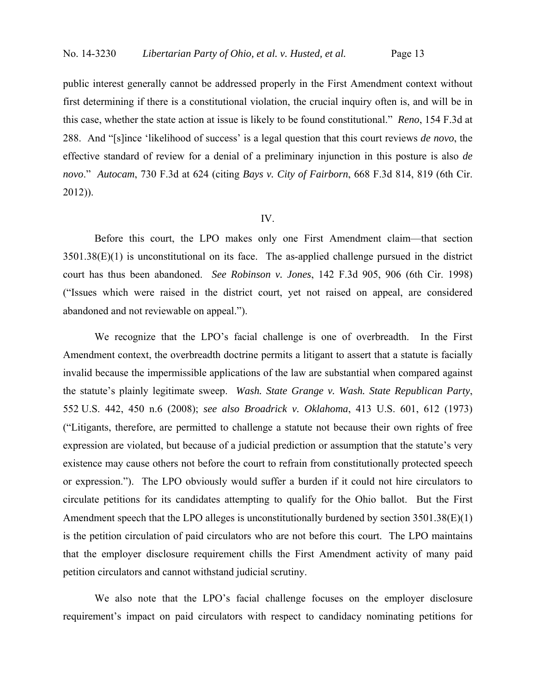public interest generally cannot be addressed properly in the First Amendment context without first determining if there is a constitutional violation, the crucial inquiry often is, and will be in this case, whether the state action at issue is likely to be found constitutional." *Reno*, 154 F.3d at 288. And "[s]ince 'likelihood of success' is a legal question that this court reviews *de novo*, the effective standard of review for a denial of a preliminary injunction in this posture is also *de novo*." *Autocam*, 730 F.3d at 624 (citing *Bays v. City of Fairborn*, 668 F.3d 814, 819 (6th Cir. 2012)).

#### IV.

Before this court, the LPO makes only one First Amendment claim—that section 3501.38(E)(1) is unconstitutional on its face. The as-applied challenge pursued in the district court has thus been abandoned. *See Robinson v. Jones*, 142 F.3d 905, 906 (6th Cir. 1998) ("Issues which were raised in the district court, yet not raised on appeal, are considered abandoned and not reviewable on appeal.").

We recognize that the LPO's facial challenge is one of overbreadth. In the First Amendment context, the overbreadth doctrine permits a litigant to assert that a statute is facially invalid because the impermissible applications of the law are substantial when compared against the statute's plainly legitimate sweep. *Wash. State Grange v. Wash. State Republican Party*, 552 U.S. 442, 450 n.6 (2008); *see also Broadrick v. Oklahoma*, 413 U.S. 601, 612 (1973) ("Litigants, therefore, are permitted to challenge a statute not because their own rights of free expression are violated, but because of a judicial prediction or assumption that the statute's very existence may cause others not before the court to refrain from constitutionally protected speech or expression."). The LPO obviously would suffer a burden if it could not hire circulators to circulate petitions for its candidates attempting to qualify for the Ohio ballot. But the First Amendment speech that the LPO alleges is unconstitutionally burdened by section 3501.38(E)(1) is the petition circulation of paid circulators who are not before this court. The LPO maintains that the employer disclosure requirement chills the First Amendment activity of many paid petition circulators and cannot withstand judicial scrutiny.

We also note that the LPO's facial challenge focuses on the employer disclosure requirement's impact on paid circulators with respect to candidacy nominating petitions for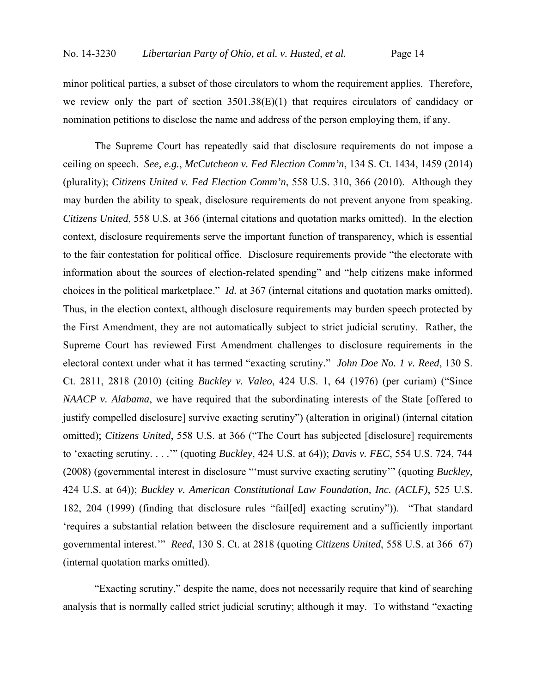minor political parties, a subset of those circulators to whom the requirement applies. Therefore, we review only the part of section 3501.38(E)(1) that requires circulators of candidacy or nomination petitions to disclose the name and address of the person employing them, if any.

The Supreme Court has repeatedly said that disclosure requirements do not impose a ceiling on speech. *See, e.g.*, *McCutcheon v. Fed Election Comm'n*, 134 S. Ct. 1434, 1459 (2014) (plurality); *Citizens United v. Fed Election Comm'n*, 558 U.S. 310, 366 (2010). Although they may burden the ability to speak, disclosure requirements do not prevent anyone from speaking. *Citizens United*, 558 U.S. at 366 (internal citations and quotation marks omitted). In the election context, disclosure requirements serve the important function of transparency, which is essential to the fair contestation for political office. Disclosure requirements provide "the electorate with information about the sources of election-related spending" and "help citizens make informed choices in the political marketplace." *Id.* at 367 (internal citations and quotation marks omitted). Thus, in the election context, although disclosure requirements may burden speech protected by the First Amendment, they are not automatically subject to strict judicial scrutiny. Rather, the Supreme Court has reviewed First Amendment challenges to disclosure requirements in the electoral context under what it has termed "exacting scrutiny." *John Doe No. 1 v. Reed*, 130 S. Ct. 2811, 2818 (2010) (citing *Buckley v. Valeo*, 424 U.S. 1, 64 (1976) (per curiam) ("Since *NAACP v. Alabama*, we have required that the subordinating interests of the State [offered to justify compelled disclosure] survive exacting scrutiny") (alteration in original) (internal citation omitted); *Citizens United*, 558 U.S. at 366 ("The Court has subjected [disclosure] requirements to 'exacting scrutiny. . . .'" (quoting *Buckley*, 424 U.S. at 64)); *Davis v. FEC*, 554 U.S. 724, 744 (2008) (governmental interest in disclosure "'must survive exacting scrutiny'" (quoting *Buckley*, 424 U.S. at 64)); *Buckley v. American Constitutional Law Foundation, Inc. (ACLF)*, 525 U.S. 182, 204 (1999) (finding that disclosure rules "fail[ed] exacting scrutiny")). "That standard 'requires a substantial relation between the disclosure requirement and a sufficiently important governmental interest.'" *Reed*, 130 S. Ct. at 2818 (quoting *Citizens United*, 558 U.S. at 366−67) (internal quotation marks omitted).

"Exacting scrutiny," despite the name, does not necessarily require that kind of searching analysis that is normally called strict judicial scrutiny; although it may. To withstand "exacting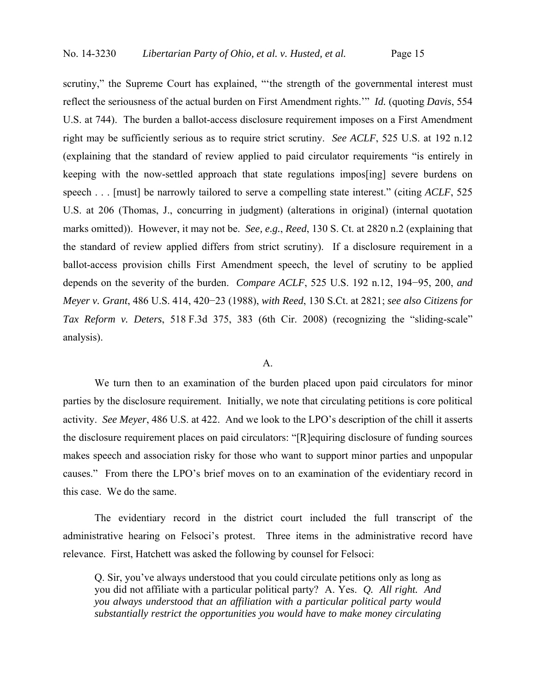scrutiny," the Supreme Court has explained, "the strength of the governmental interest must reflect the seriousness of the actual burden on First Amendment rights.'" *Id.* (quoting *Davis*, 554 U.S. at 744). The burden a ballot-access disclosure requirement imposes on a First Amendment right may be sufficiently serious as to require strict scrutiny. *See ACLF*, 525 U.S. at 192 n.12 (explaining that the standard of review applied to paid circulator requirements "is entirely in keeping with the now-settled approach that state regulations impos[ing] severe burdens on speech . . . [must] be narrowly tailored to serve a compelling state interest." (citing *ACLF*, 525 U.S. at 206 (Thomas, J., concurring in judgment) (alterations in original) (internal quotation marks omitted)). However, it may not be. *See, e.g.*, *Reed*, 130 S. Ct. at 2820 n.2 (explaining that the standard of review applied differs from strict scrutiny). If a disclosure requirement in a ballot-access provision chills First Amendment speech, the level of scrutiny to be applied depends on the severity of the burden. *Compare ACLF*, 525 U.S. 192 n.12, 194−95, 200, *and Meyer v. Grant*, 486 U.S. 414, 420−23 (1988), *with Reed*, 130 S.Ct. at 2821; *see also Citizens for Tax Reform v. Deters*, 518 F.3d 375, 383 (6th Cir. 2008) (recognizing the "sliding-scale" analysis).

#### A.

We turn then to an examination of the burden placed upon paid circulators for minor parties by the disclosure requirement. Initially, we note that circulating petitions is core political activity. *See Meyer*, 486 U.S. at 422. And we look to the LPO's description of the chill it asserts the disclosure requirement places on paid circulators: "[R]equiring disclosure of funding sources makes speech and association risky for those who want to support minor parties and unpopular causes." From there the LPO's brief moves on to an examination of the evidentiary record in this case. We do the same.

The evidentiary record in the district court included the full transcript of the administrative hearing on Felsoci's protest. Three items in the administrative record have relevance. First, Hatchett was asked the following by counsel for Felsoci:

Q. Sir, you've always understood that you could circulate petitions only as long as you did not affiliate with a particular political party? A. Yes. *Q. All right. And you always understood that an affiliation with a particular political party would substantially restrict the opportunities you would have to make money circulating*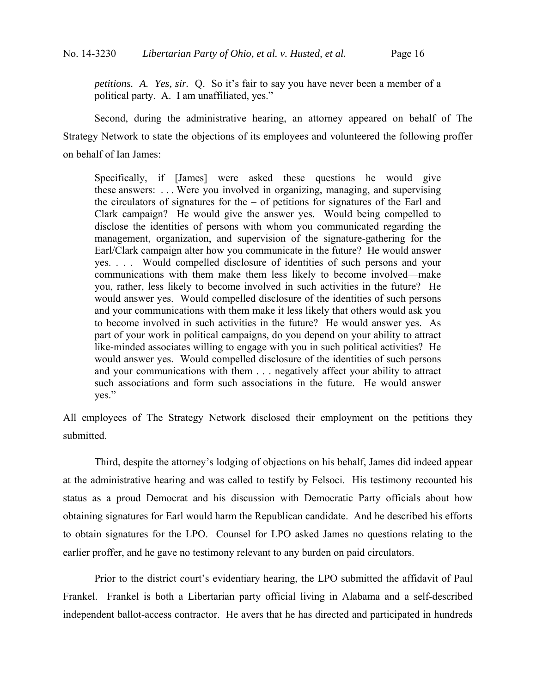*petitions. A. Yes, sir.* Q. So it's fair to say you have never been a member of a political party. A. I am unaffiliated, yes."

Second, during the administrative hearing, an attorney appeared on behalf of The Strategy Network to state the objections of its employees and volunteered the following proffer on behalf of Ian James:

Specifically, if [James] were asked these questions he would give these answers: . . . Were you involved in organizing, managing, and supervising the circulators of signatures for the – of petitions for signatures of the Earl and Clark campaign? He would give the answer yes. Would being compelled to disclose the identities of persons with whom you communicated regarding the management, organization, and supervision of the signature-gathering for the Earl/Clark campaign alter how you communicate in the future? He would answer yes. . . . Would compelled disclosure of identities of such persons and your communications with them make them less likely to become involved—make you, rather, less likely to become involved in such activities in the future? He would answer yes. Would compelled disclosure of the identities of such persons and your communications with them make it less likely that others would ask you to become involved in such activities in the future? He would answer yes. As part of your work in political campaigns, do you depend on your ability to attract like-minded associates willing to engage with you in such political activities? He would answer yes. Would compelled disclosure of the identities of such persons and your communications with them . . . negatively affect your ability to attract such associations and form such associations in the future. He would answer yes."

All employees of The Strategy Network disclosed their employment on the petitions they submitted.

Third, despite the attorney's lodging of objections on his behalf, James did indeed appear at the administrative hearing and was called to testify by Felsoci. His testimony recounted his status as a proud Democrat and his discussion with Democratic Party officials about how obtaining signatures for Earl would harm the Republican candidate. And he described his efforts to obtain signatures for the LPO. Counsel for LPO asked James no questions relating to the earlier proffer, and he gave no testimony relevant to any burden on paid circulators.

Prior to the district court's evidentiary hearing, the LPO submitted the affidavit of Paul Frankel. Frankel is both a Libertarian party official living in Alabama and a self-described independent ballot-access contractor. He avers that he has directed and participated in hundreds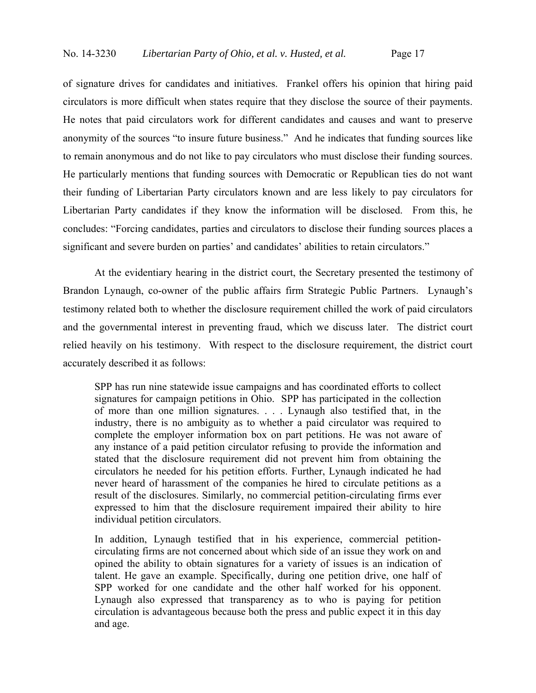of signature drives for candidates and initiatives. Frankel offers his opinion that hiring paid circulators is more difficult when states require that they disclose the source of their payments. He notes that paid circulators work for different candidates and causes and want to preserve anonymity of the sources "to insure future business." And he indicates that funding sources like to remain anonymous and do not like to pay circulators who must disclose their funding sources. He particularly mentions that funding sources with Democratic or Republican ties do not want their funding of Libertarian Party circulators known and are less likely to pay circulators for Libertarian Party candidates if they know the information will be disclosed. From this, he concludes: "Forcing candidates, parties and circulators to disclose their funding sources places a significant and severe burden on parties' and candidates' abilities to retain circulators."

At the evidentiary hearing in the district court, the Secretary presented the testimony of Brandon Lynaugh, co-owner of the public affairs firm Strategic Public Partners. Lynaugh's testimony related both to whether the disclosure requirement chilled the work of paid circulators and the governmental interest in preventing fraud, which we discuss later. The district court relied heavily on his testimony. With respect to the disclosure requirement, the district court accurately described it as follows:

SPP has run nine statewide issue campaigns and has coordinated efforts to collect signatures for campaign petitions in Ohio. SPP has participated in the collection of more than one million signatures. . . . Lynaugh also testified that, in the industry, there is no ambiguity as to whether a paid circulator was required to complete the employer information box on part petitions. He was not aware of any instance of a paid petition circulator refusing to provide the information and stated that the disclosure requirement did not prevent him from obtaining the circulators he needed for his petition efforts. Further, Lynaugh indicated he had never heard of harassment of the companies he hired to circulate petitions as a result of the disclosures. Similarly, no commercial petition-circulating firms ever expressed to him that the disclosure requirement impaired their ability to hire individual petition circulators.

In addition, Lynaugh testified that in his experience, commercial petitioncirculating firms are not concerned about which side of an issue they work on and opined the ability to obtain signatures for a variety of issues is an indication of talent. He gave an example. Specifically, during one petition drive, one half of SPP worked for one candidate and the other half worked for his opponent. Lynaugh also expressed that transparency as to who is paying for petition circulation is advantageous because both the press and public expect it in this day and age.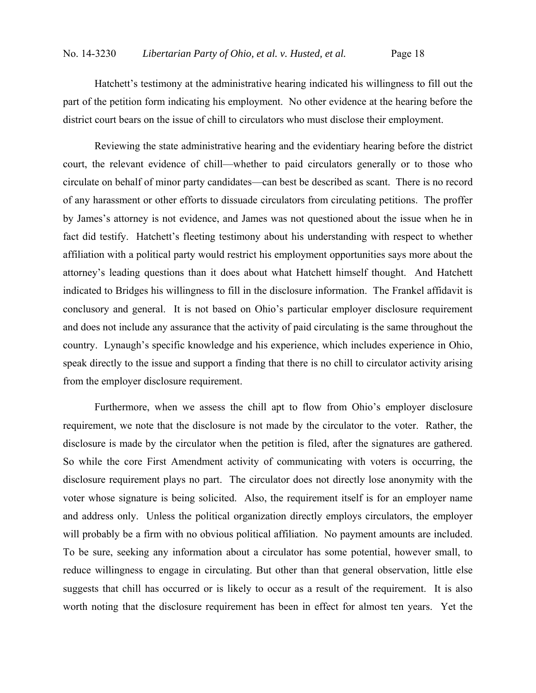Hatchett's testimony at the administrative hearing indicated his willingness to fill out the part of the petition form indicating his employment. No other evidence at the hearing before the district court bears on the issue of chill to circulators who must disclose their employment.

Reviewing the state administrative hearing and the evidentiary hearing before the district court, the relevant evidence of chill—whether to paid circulators generally or to those who circulate on behalf of minor party candidates—can best be described as scant. There is no record of any harassment or other efforts to dissuade circulators from circulating petitions. The proffer by James's attorney is not evidence, and James was not questioned about the issue when he in fact did testify. Hatchett's fleeting testimony about his understanding with respect to whether affiliation with a political party would restrict his employment opportunities says more about the attorney's leading questions than it does about what Hatchett himself thought. And Hatchett indicated to Bridges his willingness to fill in the disclosure information. The Frankel affidavit is conclusory and general. It is not based on Ohio's particular employer disclosure requirement and does not include any assurance that the activity of paid circulating is the same throughout the country. Lynaugh's specific knowledge and his experience, which includes experience in Ohio, speak directly to the issue and support a finding that there is no chill to circulator activity arising from the employer disclosure requirement.

Furthermore, when we assess the chill apt to flow from Ohio's employer disclosure requirement, we note that the disclosure is not made by the circulator to the voter. Rather, the disclosure is made by the circulator when the petition is filed, after the signatures are gathered. So while the core First Amendment activity of communicating with voters is occurring, the disclosure requirement plays no part. The circulator does not directly lose anonymity with the voter whose signature is being solicited. Also, the requirement itself is for an employer name and address only. Unless the political organization directly employs circulators, the employer will probably be a firm with no obvious political affiliation. No payment amounts are included. To be sure, seeking any information about a circulator has some potential, however small, to reduce willingness to engage in circulating. But other than that general observation, little else suggests that chill has occurred or is likely to occur as a result of the requirement. It is also worth noting that the disclosure requirement has been in effect for almost ten years. Yet the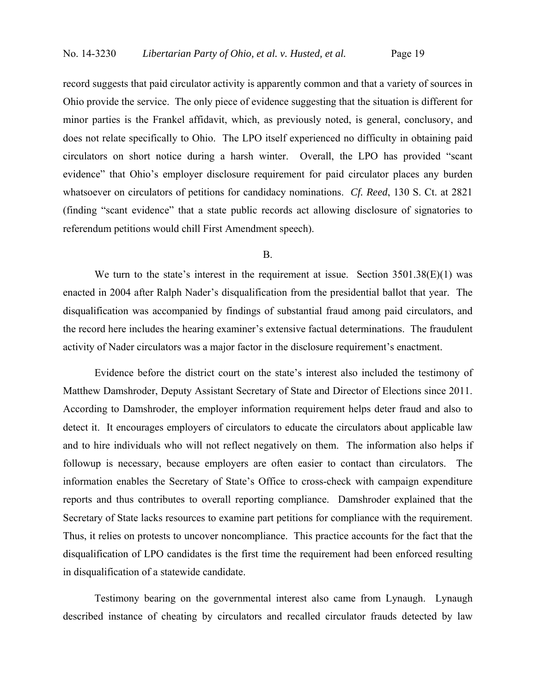record suggests that paid circulator activity is apparently common and that a variety of sources in Ohio provide the service. The only piece of evidence suggesting that the situation is different for minor parties is the Frankel affidavit, which, as previously noted, is general, conclusory, and does not relate specifically to Ohio. The LPO itself experienced no difficulty in obtaining paid circulators on short notice during a harsh winter. Overall, the LPO has provided "scant evidence" that Ohio's employer disclosure requirement for paid circulator places any burden whatsoever on circulators of petitions for candidacy nominations. *Cf. Reed*, 130 S. Ct. at 2821 (finding "scant evidence" that a state public records act allowing disclosure of signatories to referendum petitions would chill First Amendment speech).

#### B.

We turn to the state's interest in the requirement at issue. Section  $3501.38(E)(1)$  was enacted in 2004 after Ralph Nader's disqualification from the presidential ballot that year. The disqualification was accompanied by findings of substantial fraud among paid circulators, and the record here includes the hearing examiner's extensive factual determinations. The fraudulent activity of Nader circulators was a major factor in the disclosure requirement's enactment.

Evidence before the district court on the state's interest also included the testimony of Matthew Damshroder, Deputy Assistant Secretary of State and Director of Elections since 2011. According to Damshroder, the employer information requirement helps deter fraud and also to detect it. It encourages employers of circulators to educate the circulators about applicable law and to hire individuals who will not reflect negatively on them. The information also helps if followup is necessary, because employers are often easier to contact than circulators. The information enables the Secretary of State's Office to cross-check with campaign expenditure reports and thus contributes to overall reporting compliance. Damshroder explained that the Secretary of State lacks resources to examine part petitions for compliance with the requirement. Thus, it relies on protests to uncover noncompliance. This practice accounts for the fact that the disqualification of LPO candidates is the first time the requirement had been enforced resulting in disqualification of a statewide candidate.

Testimony bearing on the governmental interest also came from Lynaugh. Lynaugh described instance of cheating by circulators and recalled circulator frauds detected by law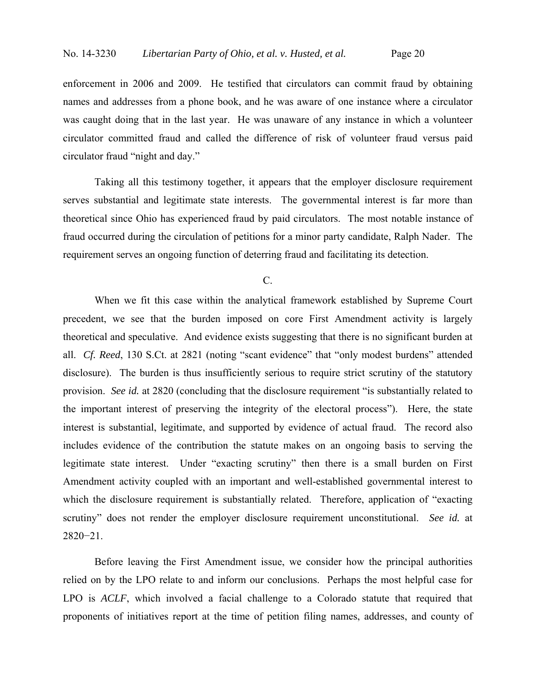enforcement in 2006 and 2009. He testified that circulators can commit fraud by obtaining names and addresses from a phone book, and he was aware of one instance where a circulator was caught doing that in the last year. He was unaware of any instance in which a volunteer circulator committed fraud and called the difference of risk of volunteer fraud versus paid circulator fraud "night and day."

Taking all this testimony together, it appears that the employer disclosure requirement serves substantial and legitimate state interests. The governmental interest is far more than theoretical since Ohio has experienced fraud by paid circulators. The most notable instance of fraud occurred during the circulation of petitions for a minor party candidate, Ralph Nader. The requirement serves an ongoing function of deterring fraud and facilitating its detection.

C.

When we fit this case within the analytical framework established by Supreme Court precedent, we see that the burden imposed on core First Amendment activity is largely theoretical and speculative. And evidence exists suggesting that there is no significant burden at all. *Cf. Reed*, 130 S.Ct. at 2821 (noting "scant evidence" that "only modest burdens" attended disclosure). The burden is thus insufficiently serious to require strict scrutiny of the statutory provision. *See id.* at 2820 (concluding that the disclosure requirement "is substantially related to the important interest of preserving the integrity of the electoral process"). Here, the state interest is substantial, legitimate, and supported by evidence of actual fraud. The record also includes evidence of the contribution the statute makes on an ongoing basis to serving the legitimate state interest. Under "exacting scrutiny" then there is a small burden on First Amendment activity coupled with an important and well-established governmental interest to which the disclosure requirement is substantially related. Therefore, application of "exacting" scrutiny" does not render the employer disclosure requirement unconstitutional. *See id.* at 2820−21.

Before leaving the First Amendment issue, we consider how the principal authorities relied on by the LPO relate to and inform our conclusions. Perhaps the most helpful case for LPO is *ACLF*, which involved a facial challenge to a Colorado statute that required that proponents of initiatives report at the time of petition filing names, addresses, and county of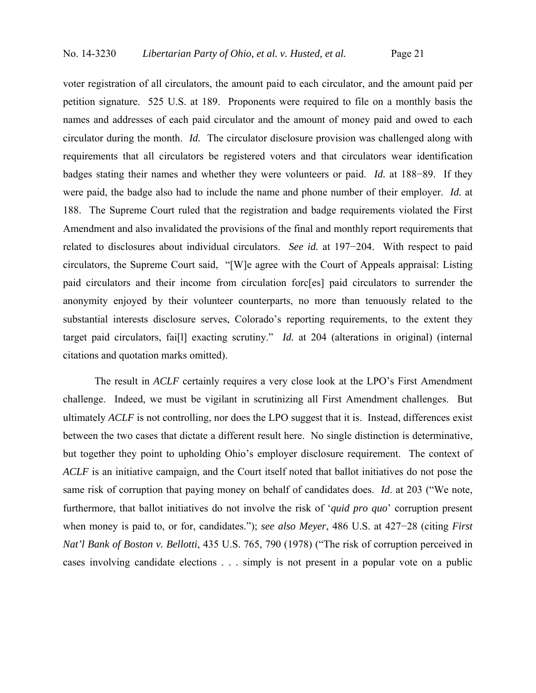voter registration of all circulators, the amount paid to each circulator, and the amount paid per petition signature. 525 U.S. at 189. Proponents were required to file on a monthly basis the names and addresses of each paid circulator and the amount of money paid and owed to each circulator during the month. *Id.* The circulator disclosure provision was challenged along with requirements that all circulators be registered voters and that circulators wear identification badges stating their names and whether they were volunteers or paid. *Id.* at 188−89. If they were paid, the badge also had to include the name and phone number of their employer. *Id.* at 188. The Supreme Court ruled that the registration and badge requirements violated the First Amendment and also invalidated the provisions of the final and monthly report requirements that related to disclosures about individual circulators. *See id.* at 197−204. With respect to paid circulators, the Supreme Court said, "[W]e agree with the Court of Appeals appraisal: Listing paid circulators and their income from circulation forc[es] paid circulators to surrender the anonymity enjoyed by their volunteer counterparts, no more than tenuously related to the substantial interests disclosure serves, Colorado's reporting requirements, to the extent they target paid circulators, fai[l] exacting scrutiny." *Id.* at 204 (alterations in original) (internal citations and quotation marks omitted).

The result in *ACLF* certainly requires a very close look at the LPO's First Amendment challenge. Indeed, we must be vigilant in scrutinizing all First Amendment challenges. But ultimately *ACLF* is not controlling, nor does the LPO suggest that it is. Instead, differences exist between the two cases that dictate a different result here. No single distinction is determinative, but together they point to upholding Ohio's employer disclosure requirement. The context of *ACLF* is an initiative campaign, and the Court itself noted that ballot initiatives do not pose the same risk of corruption that paying money on behalf of candidates does. *Id*. at 203 ("We note, furthermore, that ballot initiatives do not involve the risk of '*quid pro quo*' corruption present when money is paid to, or for, candidates."); *see also Meyer*, 486 U.S. at 427−28 (citing *First Nat'l Bank of Boston v. Bellotti*, 435 U.S. 765, 790 (1978) ("The risk of corruption perceived in cases involving candidate elections . . . simply is not present in a popular vote on a public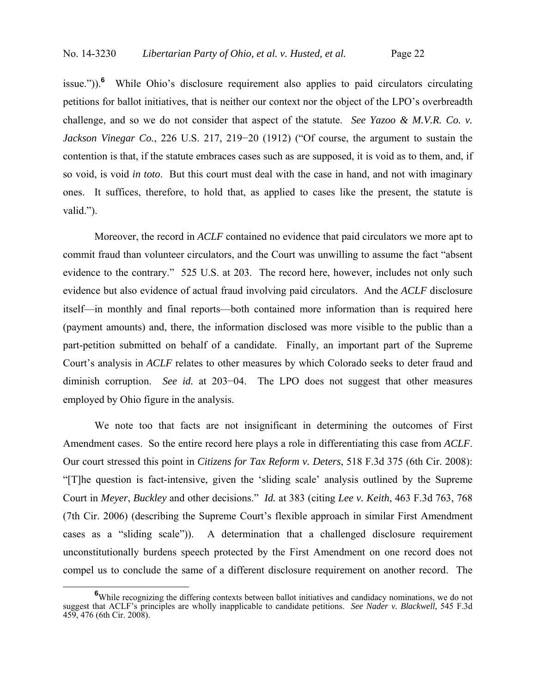issue.")).<sup>6</sup> While Ohio's disclosure requirement also applies to paid circulators circulating petitions for ballot initiatives, that is neither our context nor the object of the LPO's overbreadth challenge, and so we do not consider that aspect of the statute. *See Yazoo & M.V.R. Co. v. Jackson Vinegar Co.*, 226 U.S. 217, 219−20 (1912) ("Of course, the argument to sustain the contention is that, if the statute embraces cases such as are supposed, it is void as to them, and, if so void, is void *in toto*. But this court must deal with the case in hand, and not with imaginary ones. It suffices, therefore, to hold that, as applied to cases like the present, the statute is valid.").

Moreover, the record in *ACLF* contained no evidence that paid circulators we more apt to commit fraud than volunteer circulators, and the Court was unwilling to assume the fact "absent evidence to the contrary." 525 U.S. at 203. The record here, however, includes not only such evidence but also evidence of actual fraud involving paid circulators. And the *ACLF* disclosure itself—in monthly and final reports—both contained more information than is required here (payment amounts) and, there, the information disclosed was more visible to the public than a part-petition submitted on behalf of a candidate. Finally, an important part of the Supreme Court's analysis in *ACLF* relates to other measures by which Colorado seeks to deter fraud and diminish corruption. *See id.* at 203−04. The LPO does not suggest that other measures employed by Ohio figure in the analysis.

We note too that facts are not insignificant in determining the outcomes of First Amendment cases. So the entire record here plays a role in differentiating this case from *ACLF*. Our court stressed this point in *Citizens for Tax Reform v. Deters*, 518 F.3d 375 (6th Cir. 2008): "[T]he question is fact-intensive, given the 'sliding scale' analysis outlined by the Supreme Court in *Meyer*, *Buckley* and other decisions." *Id.* at 383 (citing *Lee v. Keith*, 463 F.3d 763, 768 (7th Cir. 2006) (describing the Supreme Court's flexible approach in similar First Amendment cases as a "sliding scale")). A determination that a challenged disclosure requirement unconstitutionally burdens speech protected by the First Amendment on one record does not compel us to conclude the same of a different disclosure requirement on another record. The

<sup>&</sup>lt;sup>6</sup>While recognizing the differing contexts between ballot initiatives and candidacy nominations, we do not suggest that ACLF's principles are wholly inapplicable to candidate petitions. *See Nader v. Blackwell*, 545 F.3d 459, 476 (6th Cir. 2008).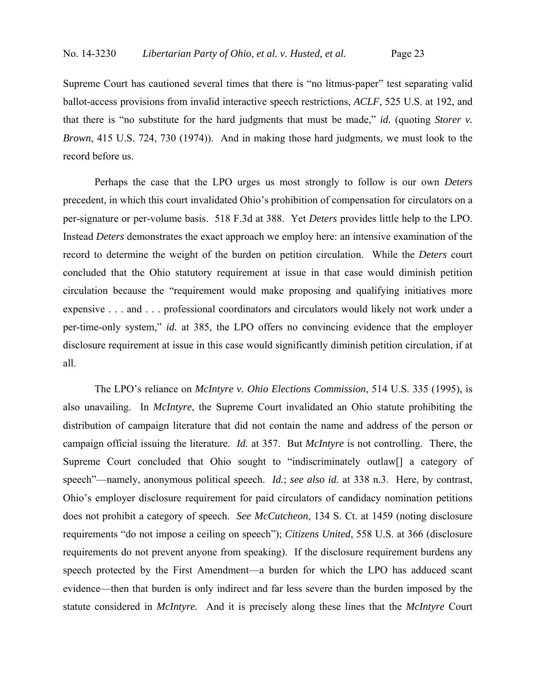Supreme Court has cautioned several times that there is "no litmus-paper" test separating valid ballot-access provisions from invalid interactive speech restrictions, *ACLF*, 525 U.S. at 192, and that there is "no substitute for the hard judgments that must be made," *id.* (quoting *Storer v. Brown*, 415 U.S. 724, 730 (1974)). And in making those hard judgments, we must look to the record before us.

Perhaps the case that the LPO urges us most strongly to follow is our own *Deters* precedent, in which this court invalidated Ohio's prohibition of compensation for circulators on a per-signature or per-volume basis. 518 F.3d at 388. Yet *Deters* provides little help to the LPO. Instead *Deters* demonstrates the exact approach we employ here: an intensive examination of the record to determine the weight of the burden on petition circulation. While the *Deters* court concluded that the Ohio statutory requirement at issue in that case would diminish petition circulation because the "requirement would make proposing and qualifying initiatives more expensive . . . and . . . professional coordinators and circulators would likely not work under a per-time-only system," *id.* at 385, the LPO offers no convincing evidence that the employer disclosure requirement at issue in this case would significantly diminish petition circulation, if at all.

The LPO's reliance on *McIntyre v. Ohio Elections Commission*, 514 U.S. 335 (1995), is also unavailing. In *McIntyre*, the Supreme Court invalidated an Ohio statute prohibiting the distribution of campaign literature that did not contain the name and address of the person or campaign official issuing the literature. *Id.* at 357. But *McIntyre* is not controlling. There, the Supreme Court concluded that Ohio sought to "indiscriminately outlaw<sup>[]</sup> a category of speech"—namely, anonymous political speech. *Id.*; *see also id.* at 338 n.3. Here, by contrast, Ohio's employer disclosure requirement for paid circulators of candidacy nomination petitions does not prohibit a category of speech. *See McCutcheon*, 134 S. Ct. at 1459 (noting disclosure requirements "do not impose a ceiling on speech"); *Citizens United*, 558 U.S. at 366 (disclosure requirements do not prevent anyone from speaking). If the disclosure requirement burdens any speech protected by the First Amendment—a burden for which the LPO has adduced scant evidence—then that burden is only indirect and far less severe than the burden imposed by the statute considered in *McIntyre.* And it is precisely along these lines that the *McIntyre* Court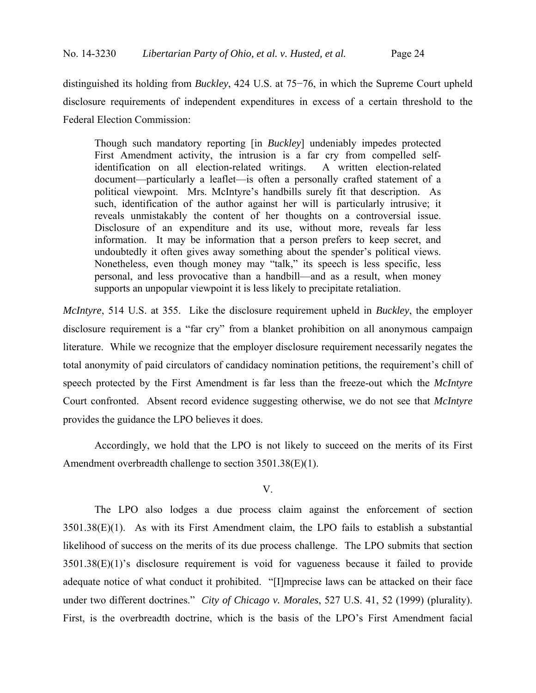distinguished its holding from *Buckley*, 424 U.S. at 75−76, in which the Supreme Court upheld disclosure requirements of independent expenditures in excess of a certain threshold to the Federal Election Commission:

Though such mandatory reporting [in *Buckley*] undeniably impedes protected First Amendment activity, the intrusion is a far cry from compelled selfidentification on all election-related writings. A written election-related document—particularly a leaflet—is often a personally crafted statement of a political viewpoint. Mrs. McIntyre's handbills surely fit that description. As such, identification of the author against her will is particularly intrusive; it reveals unmistakably the content of her thoughts on a controversial issue. Disclosure of an expenditure and its use, without more, reveals far less information. It may be information that a person prefers to keep secret, and undoubtedly it often gives away something about the spender's political views. Nonetheless, even though money may "talk," its speech is less specific, less personal, and less provocative than a handbill—and as a result, when money supports an unpopular viewpoint it is less likely to precipitate retaliation.

*McIntyre*, 514 U.S. at 355. Like the disclosure requirement upheld in *Buckley*, the employer disclosure requirement is a "far cry" from a blanket prohibition on all anonymous campaign literature. While we recognize that the employer disclosure requirement necessarily negates the total anonymity of paid circulators of candidacy nomination petitions, the requirement's chill of speech protected by the First Amendment is far less than the freeze-out which the *McIntyre* Court confronted. Absent record evidence suggesting otherwise, we do not see that *McIntyre* provides the guidance the LPO believes it does.

Accordingly, we hold that the LPO is not likely to succeed on the merits of its First Amendment overbreadth challenge to section 3501.38(E)(1).

V.

The LPO also lodges a due process claim against the enforcement of section 3501.38(E)(1). As with its First Amendment claim, the LPO fails to establish a substantial likelihood of success on the merits of its due process challenge. The LPO submits that section 3501.38(E)(1)'s disclosure requirement is void for vagueness because it failed to provide adequate notice of what conduct it prohibited. "[I]mprecise laws can be attacked on their face under two different doctrines." *City of Chicago v. Morales*, 527 U.S. 41, 52 (1999) (plurality). First, is the overbreadth doctrine, which is the basis of the LPO's First Amendment facial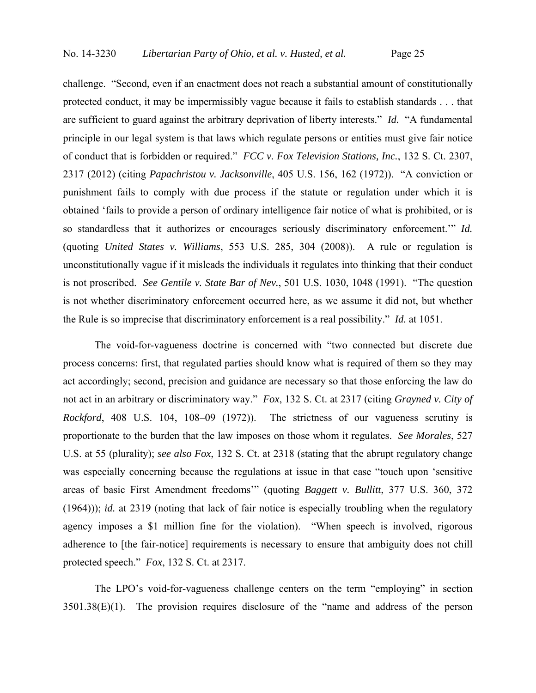challenge. "Second, even if an enactment does not reach a substantial amount of constitutionally protected conduct, it may be impermissibly vague because it fails to establish standards . . . that are sufficient to guard against the arbitrary deprivation of liberty interests." *Id.* "A fundamental principle in our legal system is that laws which regulate persons or entities must give fair notice of conduct that is forbidden or required." *FCC v. Fox Television Stations, Inc.*, 132 S. Ct. 2307, 2317 (2012) (citing *Papachristou v. Jacksonville*, 405 U.S. 156, 162 (1972)). "A conviction or punishment fails to comply with due process if the statute or regulation under which it is obtained 'fails to provide a person of ordinary intelligence fair notice of what is prohibited, or is so standardless that it authorizes or encourages seriously discriminatory enforcement.'" *Id.* (quoting *United States v. Williams*, 553 U.S. 285, 304 (2008)). A rule or regulation is unconstitutionally vague if it misleads the individuals it regulates into thinking that their conduct is not proscribed. *See Gentile v. State Bar of Nev.*, 501 U.S. 1030, 1048 (1991). "The question is not whether discriminatory enforcement occurred here, as we assume it did not, but whether the Rule is so imprecise that discriminatory enforcement is a real possibility." *Id.* at 1051.

The void-for-vagueness doctrine is concerned with "two connected but discrete due process concerns: first, that regulated parties should know what is required of them so they may act accordingly; second, precision and guidance are necessary so that those enforcing the law do not act in an arbitrary or discriminatory way." *Fox*, 132 S. Ct. at 2317 (citing *Grayned v. City of Rockford*, 408 U.S. 104, 108–09 (1972)). The strictness of our vagueness scrutiny is proportionate to the burden that the law imposes on those whom it regulates. *See Morales*, 527 U.S. at 55 (plurality); *see also Fox*, 132 S. Ct. at 2318 (stating that the abrupt regulatory change was especially concerning because the regulations at issue in that case "touch upon 'sensitive areas of basic First Amendment freedoms'" (quoting *Baggett v. Bullitt*, 377 U.S. 360, 372 (1964))); *id.* at 2319 (noting that lack of fair notice is especially troubling when the regulatory agency imposes a \$1 million fine for the violation). "When speech is involved, rigorous adherence to [the fair-notice] requirements is necessary to ensure that ambiguity does not chill protected speech." *Fox*, 132 S. Ct. at 2317.

The LPO's void-for-vagueness challenge centers on the term "employing" in section 3501.38(E)(1). The provision requires disclosure of the "name and address of the person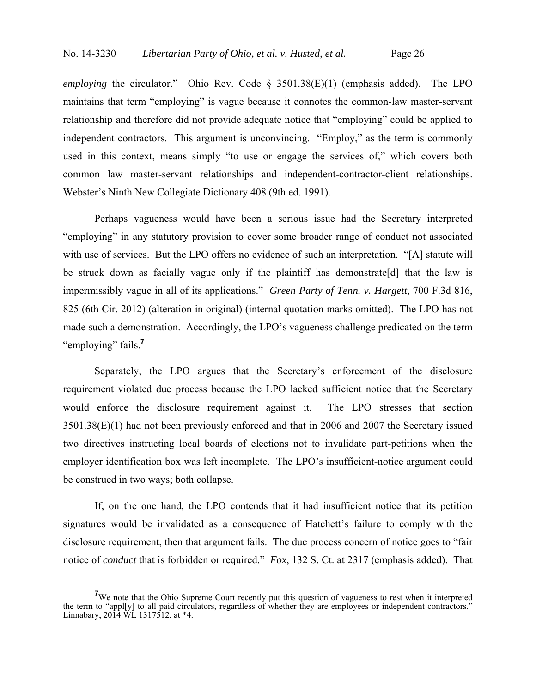*employing* the circulator." Ohio Rev. Code § 3501.38(E)(1) (emphasis added). The LPO maintains that term "employing" is vague because it connotes the common-law master-servant relationship and therefore did not provide adequate notice that "employing" could be applied to independent contractors. This argument is unconvincing. "Employ," as the term is commonly used in this context, means simply "to use or engage the services of," which covers both common law master-servant relationships and independent-contractor-client relationships. Webster's Ninth New Collegiate Dictionary 408 (9th ed. 1991).

Perhaps vagueness would have been a serious issue had the Secretary interpreted "employing" in any statutory provision to cover some broader range of conduct not associated with use of services. But the LPO offers no evidence of such an interpretation. "[A] statute will be struck down as facially vague only if the plaintiff has demonstrate [d] that the law is impermissibly vague in all of its applications." *Green Party of Tenn. v. Hargett*, 700 F.3d 816, 825 (6th Cir. 2012) (alteration in original) (internal quotation marks omitted). The LPO has not made such a demonstration. Accordingly, the LPO's vagueness challenge predicated on the term "employing" fails.**<sup>7</sup>**

Separately, the LPO argues that the Secretary's enforcement of the disclosure requirement violated due process because the LPO lacked sufficient notice that the Secretary would enforce the disclosure requirement against it. The LPO stresses that section 3501.38(E)(1) had not been previously enforced and that in 2006 and 2007 the Secretary issued two directives instructing local boards of elections not to invalidate part-petitions when the employer identification box was left incomplete. The LPO's insufficient-notice argument could be construed in two ways; both collapse.

If, on the one hand, the LPO contends that it had insufficient notice that its petition signatures would be invalidated as a consequence of Hatchett's failure to comply with the disclosure requirement, then that argument fails. The due process concern of notice goes to "fair notice of *conduct* that is forbidden or required." *Fox*, 132 S. Ct. at 2317 (emphasis added). That

<sup>&</sup>lt;sup>7</sup>We note that the Ohio Supreme Court recently put this question of vagueness to rest when it interpreted the term to "appl[y] to all paid circulators, regardless of whether they are employees or independent contractors." Linnabary, 2014 WL 1317512, at \*4.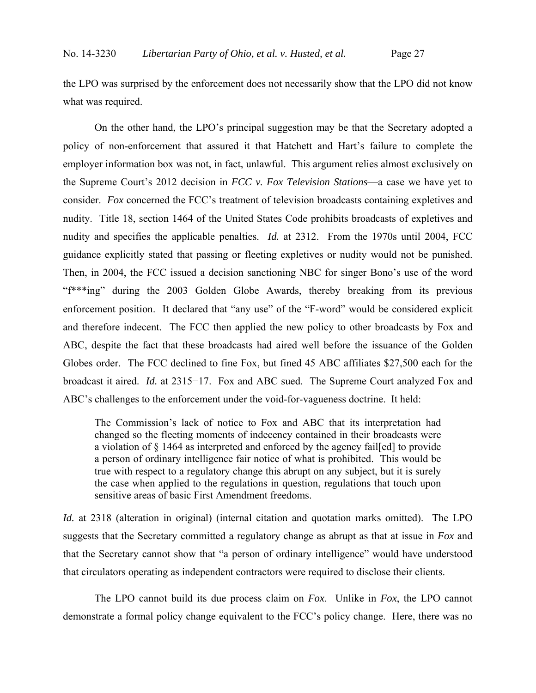the LPO was surprised by the enforcement does not necessarily show that the LPO did not know what was required.

On the other hand, the LPO's principal suggestion may be that the Secretary adopted a policy of non-enforcement that assured it that Hatchett and Hart's failure to complete the employer information box was not, in fact, unlawful. This argument relies almost exclusively on the Supreme Court's 2012 decision in *FCC v. Fox Television Stations*—a case we have yet to consider. *Fox* concerned the FCC's treatment of television broadcasts containing expletives and nudity. Title 18, section 1464 of the United States Code prohibits broadcasts of expletives and nudity and specifies the applicable penalties. *Id.* at 2312. From the 1970s until 2004, FCC guidance explicitly stated that passing or fleeting expletives or nudity would not be punished. Then, in 2004, the FCC issued a decision sanctioning NBC for singer Bono's use of the word "f\*\*\*ing" during the 2003 Golden Globe Awards, thereby breaking from its previous enforcement position. It declared that "any use" of the "F-word" would be considered explicit and therefore indecent. The FCC then applied the new policy to other broadcasts by Fox and ABC, despite the fact that these broadcasts had aired well before the issuance of the Golden Globes order. The FCC declined to fine Fox, but fined 45 ABC affiliates \$27,500 each for the broadcast it aired. *Id.* at 2315−17. Fox and ABC sued. The Supreme Court analyzed Fox and ABC's challenges to the enforcement under the void-for-vagueness doctrine. It held:

The Commission's lack of notice to Fox and ABC that its interpretation had changed so the fleeting moments of indecency contained in their broadcasts were a violation of § 1464 as interpreted and enforced by the agency fail[ed] to provide a person of ordinary intelligence fair notice of what is prohibited. This would be true with respect to a regulatory change this abrupt on any subject, but it is surely the case when applied to the regulations in question, regulations that touch upon sensitive areas of basic First Amendment freedoms.

*Id.* at 2318 (alteration in original) (internal citation and quotation marks omitted). The LPO suggests that the Secretary committed a regulatory change as abrupt as that at issue in *Fox* and that the Secretary cannot show that "a person of ordinary intelligence" would have understood that circulators operating as independent contractors were required to disclose their clients.

The LPO cannot build its due process claim on *Fox*. Unlike in *Fox*, the LPO cannot demonstrate a formal policy change equivalent to the FCC's policy change. Here, there was no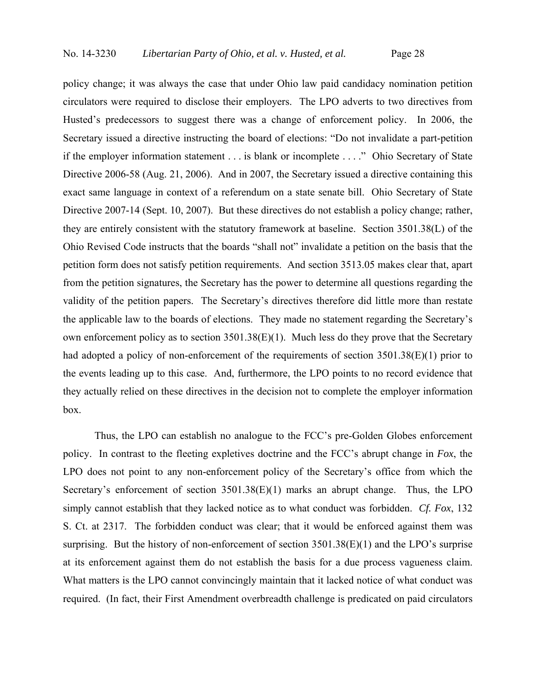policy change; it was always the case that under Ohio law paid candidacy nomination petition circulators were required to disclose their employers. The LPO adverts to two directives from Husted's predecessors to suggest there was a change of enforcement policy. In 2006, the Secretary issued a directive instructing the board of elections: "Do not invalidate a part-petition if the employer information statement . . . is blank or incomplete . . . ." Ohio Secretary of State Directive 2006-58 (Aug. 21, 2006). And in 2007, the Secretary issued a directive containing this exact same language in context of a referendum on a state senate bill. Ohio Secretary of State Directive 2007-14 (Sept. 10, 2007). But these directives do not establish a policy change; rather, they are entirely consistent with the statutory framework at baseline. Section 3501.38(L) of the Ohio Revised Code instructs that the boards "shall not" invalidate a petition on the basis that the petition form does not satisfy petition requirements. And section 3513.05 makes clear that, apart from the petition signatures, the Secretary has the power to determine all questions regarding the validity of the petition papers. The Secretary's directives therefore did little more than restate the applicable law to the boards of elections. They made no statement regarding the Secretary's own enforcement policy as to section 3501.38(E)(1). Much less do they prove that the Secretary had adopted a policy of non-enforcement of the requirements of section 3501.38(E)(1) prior to the events leading up to this case. And, furthermore, the LPO points to no record evidence that they actually relied on these directives in the decision not to complete the employer information box.

Thus, the LPO can establish no analogue to the FCC's pre-Golden Globes enforcement policy. In contrast to the fleeting expletives doctrine and the FCC's abrupt change in *Fox*, the LPO does not point to any non-enforcement policy of the Secretary's office from which the Secretary's enforcement of section 3501.38(E)(1) marks an abrupt change. Thus, the LPO simply cannot establish that they lacked notice as to what conduct was forbidden. *Cf. Fox*, 132 S. Ct. at 2317. The forbidden conduct was clear; that it would be enforced against them was surprising. But the history of non-enforcement of section  $3501.38(E)(1)$  and the LPO's surprise at its enforcement against them do not establish the basis for a due process vagueness claim. What matters is the LPO cannot convincingly maintain that it lacked notice of what conduct was required. (In fact, their First Amendment overbreadth challenge is predicated on paid circulators